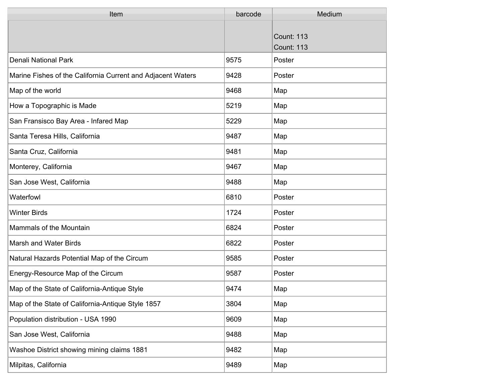| Item                                                        | barcode | Medium                                 |
|-------------------------------------------------------------|---------|----------------------------------------|
|                                                             |         | <b>Count: 113</b><br><b>Count: 113</b> |
| <b>Denali National Park</b>                                 | 9575    | Poster                                 |
| Marine Fishes of the California Current and Adjacent Waters | 9428    | Poster                                 |
| Map of the world                                            | 9468    | Map                                    |
| How a Topographic is Made                                   | 5219    | Map                                    |
| San Fransisco Bay Area - Infared Map                        | 5229    | Map                                    |
| Santa Teresa Hills, California                              | 9487    | Map                                    |
| Santa Cruz, California                                      | 9481    | Map                                    |
| Monterey, California                                        | 9467    | Map                                    |
| San Jose West, California                                   | 9488    | Map                                    |
| Waterfowl                                                   | 6810    | Poster                                 |
| <b>Winter Birds</b>                                         | 1724    | Poster                                 |
| Mammals of the Mountain                                     | 6824    | Poster                                 |
| Marsh and Water Birds                                       | 6822    | Poster                                 |
| Natural Hazards Potential Map of the Circum                 | 9585    | Poster                                 |
| Energy-Resource Map of the Circum                           | 9587    | Poster                                 |
| Map of the State of California-Antique Style                | 9474    | Map                                    |
| Map of the State of California-Antique Style 1857           | 3804    | Map                                    |
| Population distribution - USA 1990                          | 9609    | Map                                    |
| San Jose West, California                                   | 9488    | Map                                    |
| Washoe District showing mining claims 1881                  | 9482    | Map                                    |
| Milpitas, California                                        | 9489    | Map                                    |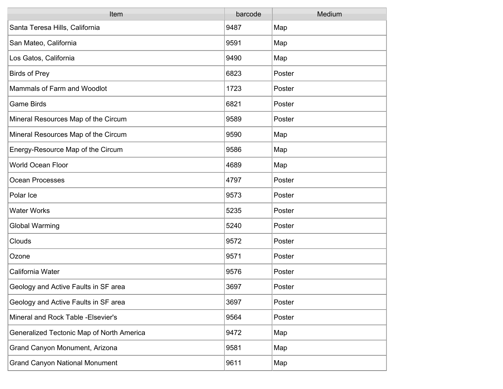| Item                                      | barcode | Medium |
|-------------------------------------------|---------|--------|
| Santa Teresa Hills, California            | 9487    | Map    |
| San Mateo, California                     | 9591    | Map    |
| Los Gatos, California                     | 9490    | Map    |
| Birds of Prey                             | 6823    | Poster |
| Mammals of Farm and Woodlot               | 1723    | Poster |
| Game Birds                                | 6821    | Poster |
| Mineral Resources Map of the Circum       | 9589    | Poster |
| Mineral Resources Map of the Circum       | 9590    | Map    |
| Energy-Resource Map of the Circum         | 9586    | Map    |
| <b>World Ocean Floor</b>                  | 4689    | Map    |
| Ocean Processes                           | 4797    | Poster |
| Polar Ice                                 | 9573    | Poster |
| <b>Water Works</b>                        | 5235    | Poster |
| <b>Global Warming</b>                     | 5240    | Poster |
| Clouds                                    | 9572    | Poster |
| Ozone                                     | 9571    | Poster |
| California Water                          | 9576    | Poster |
| Geology and Active Faults in SF area      | 3697    | Poster |
| Geology and Active Faults in SF area      | 3697    | Poster |
| Mineral and Rock Table - Elsevier's       | 9564    | Poster |
| Generalized Tectonic Map of North America | 9472    | Map    |
| Grand Canyon Monument, Arizona            | 9581    | Map    |
| <b>Grand Canyon National Monument</b>     | 9611    | Map    |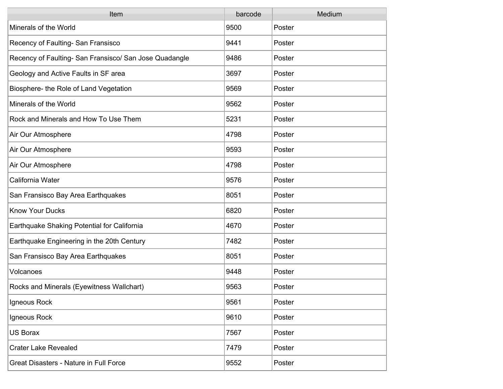| Item                                                   | barcode | Medium |
|--------------------------------------------------------|---------|--------|
| Minerals of the World                                  | 9500    | Poster |
| Recency of Faulting- San Fransisco                     | 9441    | Poster |
| Recency of Faulting- San Fransisco/ San Jose Quadangle | 9486    | Poster |
| Geology and Active Faults in SF area                   | 3697    | Poster |
| Biosphere- the Role of Land Vegetation                 | 9569    | Poster |
| Minerals of the World                                  | 9562    | Poster |
| Rock and Minerals and How To Use Them                  | 5231    | Poster |
| Air Our Atmosphere                                     | 4798    | Poster |
| Air Our Atmosphere                                     | 9593    | Poster |
| Air Our Atmosphere                                     | 4798    | Poster |
| California Water                                       | 9576    | Poster |
| San Fransisco Bay Area Earthquakes                     | 8051    | Poster |
| <b>Know Your Ducks</b>                                 | 6820    | Poster |
| Earthquake Shaking Potential for California            | 4670    | Poster |
| Earthquake Engineering in the 20th Century             | 7482    | Poster |
| San Fransisco Bay Area Earthquakes                     | 8051    | Poster |
| Volcanoes                                              | 9448    | Poster |
| Rocks and Minerals (Eyewitness Wallchart)              | 9563    | Poster |
| Igneous Rock                                           | 9561    | Poster |
| Igneous Rock                                           | 9610    | Poster |
| <b>US Borax</b>                                        | 7567    | Poster |
| <b>Crater Lake Revealed</b>                            | 7479    | Poster |
| Great Disasters - Nature in Full Force                 | 9552    | Poster |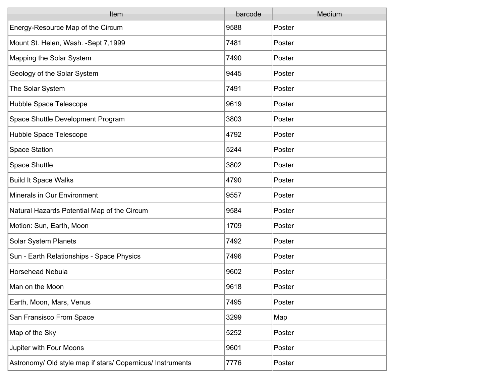| Item                                                       | barcode | Medium |
|------------------------------------------------------------|---------|--------|
| Energy-Resource Map of the Circum                          | 9588    | Poster |
| Mount St. Helen, Wash. - Sept 7,1999                       | 7481    | Poster |
| Mapping the Solar System                                   | 7490    | Poster |
| Geology of the Solar System                                | 9445    | Poster |
| The Solar System                                           | 7491    | Poster |
| Hubble Space Telescope                                     | 9619    | Poster |
| Space Shuttle Development Program                          | 3803    | Poster |
| Hubble Space Telescope                                     | 4792    | Poster |
| <b>Space Station</b>                                       | 5244    | Poster |
| Space Shuttle                                              | 3802    | Poster |
| <b>Build It Space Walks</b>                                | 4790    | Poster |
| Minerals in Our Environment                                | 9557    | Poster |
| Natural Hazards Potential Map of the Circum                | 9584    | Poster |
| Motion: Sun, Earth, Moon                                   | 1709    | Poster |
| <b>Solar System Planets</b>                                | 7492    | Poster |
| Sun - Earth Relationships - Space Physics                  | 7496    | Poster |
| <b>Horsehead Nebula</b>                                    | 9602    | Poster |
| Man on the Moon                                            | 9618    | Poster |
| Earth, Moon, Mars, Venus                                   | 7495    | Poster |
| San Fransisco From Space                                   | 3299    | Map    |
| Map of the Sky                                             | 5252    | Poster |
| Jupiter with Four Moons                                    | 9601    | Poster |
| Astronomy/ Old style map if stars/ Copernicus/ Instruments | 7776    | Poster |